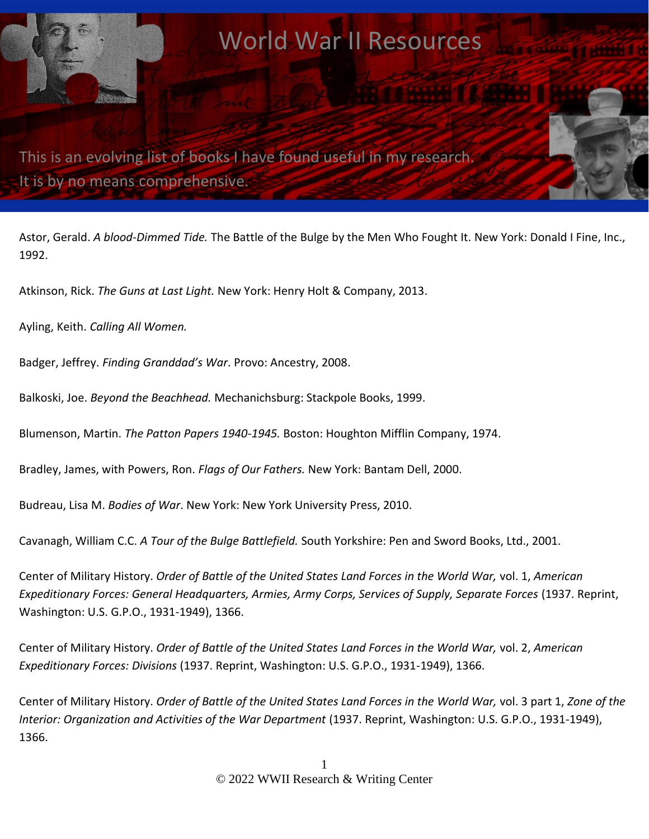

Astor, Gerald. *A blood-Dimmed Tide.* The Battle of the Bulge by the Men Who Fought It. New York: Donald I Fine, Inc., 1992.

Atkinson, Rick. *The Guns at Last Light.* New York: Henry Holt & Company, 2013.

Ayling, Keith. *Calling All Women.* 

Badger, Jeffrey. *Finding Granddad's War*. Provo: Ancestry, 2008.

Balkoski, Joe. *Beyond the Beachhead.* Mechanichsburg: Stackpole Books, 1999.

Blumenson, Martin. *The Patton Papers 1940-1945.* Boston: Houghton Mifflin Company, 1974.

Bradley, James, with Powers, Ron. *Flags of Our Fathers.* New York: Bantam Dell, 2000.

Budreau, Lisa M. *Bodies of War*. New York: New York University Press, 2010.

Cavanagh, William C.C. *A Tour of the Bulge Battlefield.* South Yorkshire: Pen and Sword Books, Ltd., 2001.

Center of Military History. *Order of Battle of the United States Land Forces in the World War,* vol. 1, *American Expeditionary Forces: General Headquarters, Armies, Army Corps, Services of Supply, Separate Forces* (1937. Reprint, Washington: U.S. G.P.O., 1931-1949), 1366.

Center of Military History. *Order of Battle of the United States Land Forces in the World War,* vol. 2, *American Expeditionary Forces: Divisions* (1937. Reprint, Washington: U.S. G.P.O., 1931-1949), 1366.

Center of Military History. *Order of Battle of the United States Land Forces in the World War,* vol. 3 part 1, *Zone of the*  Interior: Organization and Activities of the War Department (1937. Reprint, Washington: U.S. G.P.O., 1931-1949), 1366.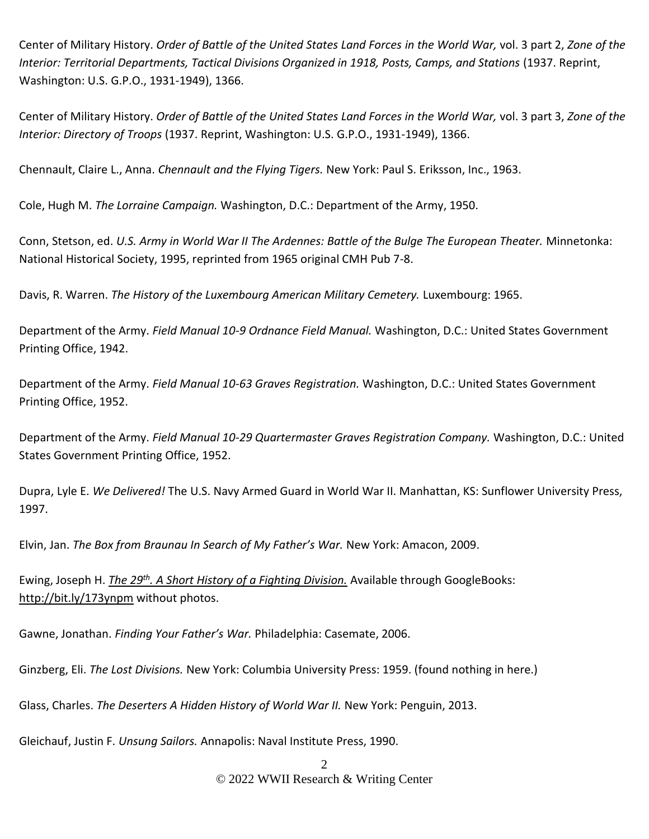Center of Military History. *Order of Battle of the United States Land Forces in the World War,* vol. 3 part 2, *Zone of the Interior: Territorial Departments, Tactical Divisions Organized in 1918, Posts, Camps, and Stations* (1937. Reprint, Washington: U.S. G.P.O., 1931-1949), 1366.

Center of Military History. *Order of Battle of the United States Land Forces in the World War,* vol. 3 part 3, *Zone of the Interior: Directory of Troops* (1937. Reprint, Washington: U.S. G.P.O., 1931-1949), 1366.

Chennault, Claire L., Anna. *Chennault and the Flying Tigers.* New York: Paul S. Eriksson, Inc., 1963.

Cole, Hugh M. *The Lorraine Campaign.* Washington, D.C.: Department of the Army, 1950.

Conn, Stetson, ed. *U.S. Army in World War II The Ardennes: Battle of the Bulge The European Theater.* Minnetonka: National Historical Society, 1995, reprinted from 1965 original CMH Pub 7-8.

Davis, R. Warren. *The History of the Luxembourg American Military Cemetery.* Luxembourg: 1965.

Department of the Army. *Field Manual 10-9 Ordnance Field Manual.* Washington, D.C.: United States Government Printing Office, 1942.

Department of the Army. *Field Manual 10-63 Graves Registration.* Washington, D.C.: United States Government Printing Office, 1952.

Department of the Army. *Field Manual 10-29 Quartermaster Graves Registration Company.* Washington, D.C.: United States Government Printing Office, 1952.

Dupra, Lyle E. *We Delivered!* The U.S. Navy Armed Guard in World War II. Manhattan, KS: Sunflower University Press, 1997.

Elvin, Jan. *The Box from Braunau In Search of My Father's War.* New York: Amacon, 2009.

Ewing, Joseph H. *[The 29](http://bit.ly/173ynpm)[th](http://bit.ly/173ynpm)[. A Short History of a Fighting Division.](http://bit.ly/173ynpm)* Available through GoogleBooks: <http://bit.ly/173ynpm> without photos.

Gawne, Jonathan. *Finding Your Father's War.* Philadelphia: Casemate, 2006.

Ginzberg, Eli. *The Lost Divisions.* New York: Columbia University Press: 1959. (found nothing in here.)

Glass, Charles. *The Deserters A Hidden History of World War II.* New York: Penguin, 2013.

Gleichauf, Justin F. *Unsung Sailors.* Annapolis: Naval Institute Press, 1990.

2 © 2022 WWII Research & Writing Center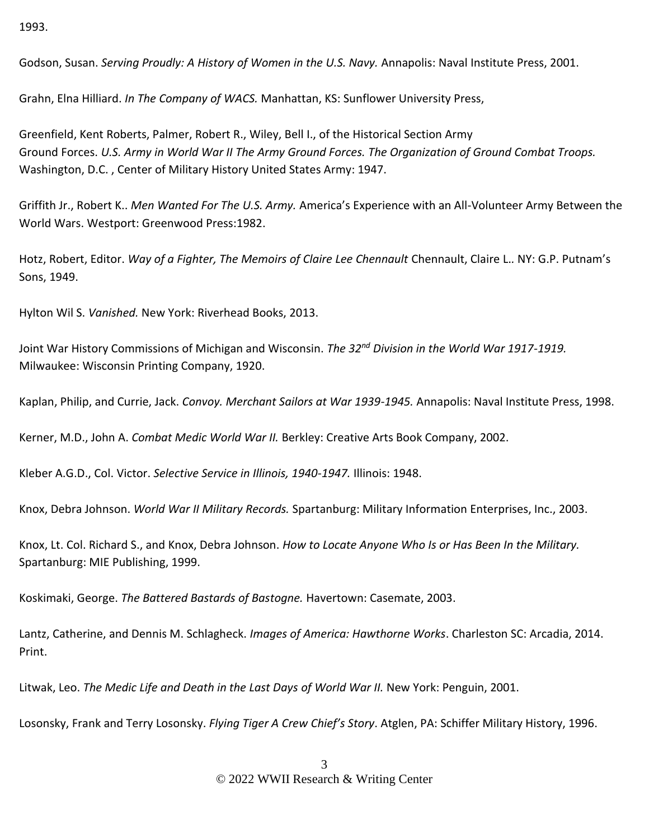1993.

Godson, Susan. *Serving Proudly: A History of Women in the U.S. Navy.* Annapolis: Naval Institute Press, 2001.

Grahn, Elna Hilliard. *In The Company of WACS.* Manhattan, KS: Sunflower University Press,

Greenfield, Kent Roberts, Palmer, Robert R., Wiley, Bell I., of the Historical Section Army Ground Forces. *U.S. Army in World War II The Army Ground Forces. The Organization of Ground Combat Troops.* Washington, D.C. , Center of Military History United States Army: 1947.

Griffith Jr., Robert K.. *Men Wanted For The U.S. Army.* America's Experience with an All-Volunteer Army Between the World Wars. Westport: Greenwood Press:1982.

Hotz, Robert, Editor. *Way of a Fighter, The Memoirs of Claire Lee Chennault* Chennault, Claire L.*.* NY: G.P. Putnam's Sons, 1949.

Hylton Wil S. *Vanished.* New York: Riverhead Books, 2013.

Joint War History Commissions of Michigan and Wisconsin. *The 32nd Division in the World War 1917-1919.* Milwaukee: Wisconsin Printing Company, 1920.

Kaplan, Philip, and Currie, Jack. *Convoy. Merchant Sailors at War 1939-1945.* Annapolis: Naval Institute Press, 1998.

Kerner, M.D., John A. *Combat Medic World War II.* Berkley: Creative Arts Book Company, 2002.

Kleber A.G.D., Col. Victor. *Selective Service in Illinois, 1940-1947.* Illinois: 1948.

Knox, Debra Johnson. *World War II Military Records.* Spartanburg: Military Information Enterprises, Inc., 2003.

Knox, Lt. Col. Richard S., and Knox, Debra Johnson. *How to Locate Anyone Who Is or Has Been In the Military.* Spartanburg: MIE Publishing, 1999.

Koskimaki, George. *The Battered Bastards of Bastogne.* Havertown: Casemate, 2003.

Lantz, Catherine, and Dennis M. Schlagheck. *Images of America: Hawthorne Works*. Charleston SC: Arcadia, 2014. Print.

Litwak, Leo. *The Medic Life and Death in the Last Days of World War II.* New York: Penguin, 2001.

Losonsky, Frank and Terry Losonsky. *Flying Tiger A Crew Chief's Story*. Atglen, PA: Schiffer Military History, 1996.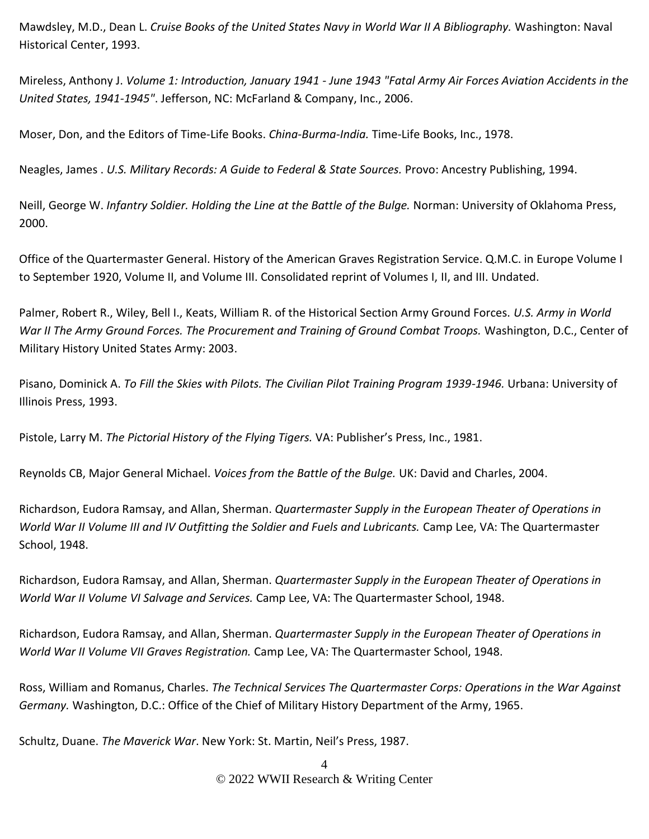Mawdsley, M.D., Dean L. *Cruise Books of the United States Navy in World War II A Bibliography.* Washington: Naval Historical Center, 1993.

Mireless, Anthony J. *Volume 1: Introduction, January 1941 - June 1943 "Fatal Army Air Forces Aviation Accidents in the United States, 1941-1945"*. Jefferson, NC: McFarland & Company, Inc., 2006.

Moser, Don, and the Editors of Time-Life Books. *China-Burma-India.* Time-Life Books, Inc., 1978.

Neagles, James . *U.S. Military Records: A Guide to Federal & State Sources.* Provo: Ancestry Publishing, 1994.

Neill, George W. *Infantry Soldier. Holding the Line at the Battle of the Bulge.* Norman: University of Oklahoma Press, 2000.

Office of the Quartermaster General. History of the American Graves Registration Service. Q.M.C. in Europe Volume I to September 1920, Volume II, and Volume III. Consolidated reprint of Volumes I, II, and III. Undated.

Palmer, Robert R., Wiley, Bell I., Keats, William R. of the Historical Section Army Ground Forces. *U.S. Army in World War II The Army Ground Forces. The Procurement and Training of Ground Combat Troops.* Washington, D.C., Center of Military History United States Army: 2003.

Pisano, Dominick A. *To Fill the Skies with Pilots. The Civilian Pilot Training Program 1939-1946.* Urbana: University of Illinois Press, 1993.

Pistole, Larry M. *The Pictorial History of the Flying Tigers.* VA: Publisher's Press, Inc., 1981.

Reynolds CB, Major General Michael. *Voices from the Battle of the Bulge.* UK: David and Charles, 2004.

Richardson, Eudora Ramsay, and Allan, Sherman. *Quartermaster Supply in the European Theater of Operations in World War II Volume III and IV Outfitting the Soldier and Fuels and Lubricants.* Camp Lee, VA: The Quartermaster School, 1948.

Richardson, Eudora Ramsay, and Allan, Sherman. *Quartermaster Supply in the European Theater of Operations in World War II Volume VI Salvage and Services.* Camp Lee, VA: The Quartermaster School, 1948.

Richardson, Eudora Ramsay, and Allan, Sherman. *Quartermaster Supply in the European Theater of Operations in World War II Volume VII Graves Registration.* Camp Lee, VA: The Quartermaster School, 1948.

Ross, William and Romanus, Charles. *The Technical Services The Quartermaster Corps: Operations in the War Against Germany.* Washington, D.C.: Office of the Chief of Military History Department of the Army, 1965.

Schultz, Duane. *The Maverick War*. New York: St. Martin, Neil's Press, 1987.

4 © 2022 WWII Research & Writing Center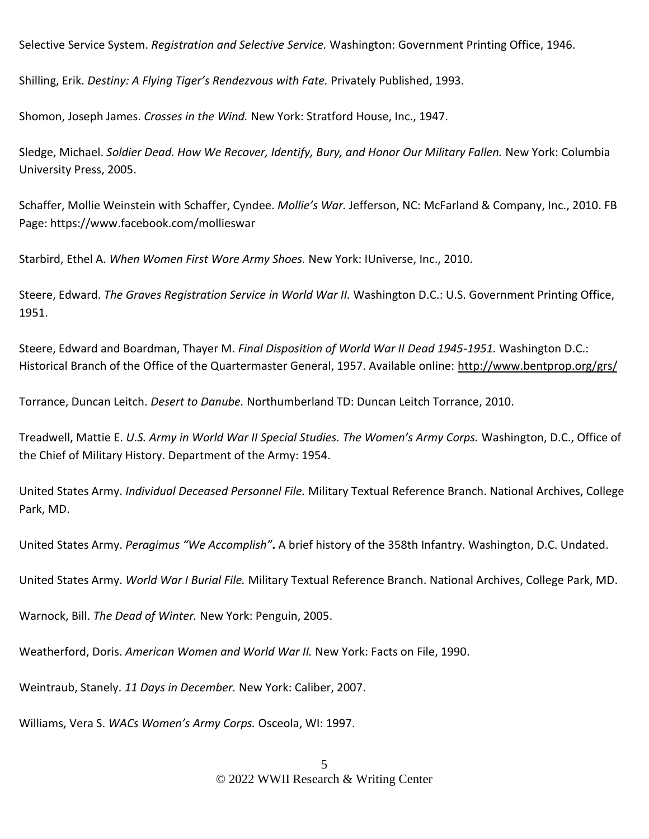Selective Service System. *Registration and Selective Service.* Washington: Government Printing Office, 1946.

Shilling, Erik. *Destiny: A Flying Tiger's Rendezvous with Fate.* Privately Published, 1993.

Shomon, Joseph James. *Crosses in the Wind.* New York: Stratford House, Inc., 1947.

Sledge, Michael. *Soldier Dead. How We Recover, Identify, Bury, and Honor Our Military Fallen.* New York: Columbia University Press, 2005.

Schaffer, Mollie Weinstein with Schaffer, Cyndee. *Mollie's War.* Jefferson, NC: McFarland & Company, Inc., 2010. FB Page: https://www.facebook.com/mollieswar

Starbird, Ethel A. *When Women First Wore Army Shoes.* New York: IUniverse, Inc., 2010.

Steere, Edward. *The Graves Registration Service in World War II.* Washington D.C.: U.S. Government Printing Office, 1951.

Steere, Edward and Boardman, Thayer M. *Final Disposition of World War II Dead 1945-1951.* Washington D.C.: Historical Branch of the Office of the Quartermaster General, 1957. Available online:<http://www.bentprop.org/grs/>

Torrance, Duncan Leitch. *Desert to Danube.* Northumberland TD: Duncan Leitch Torrance, 2010.

Treadwell, Mattie E. *U.S. Army in World War II Special Studies. The Women's Army Corps.* Washington, D.C., Office of the Chief of Military History. Department of the Army: 1954.

United States Army. *Individual Deceased Personnel File.* Military Textual Reference Branch. National Archives, College Park, MD.

United States Army. *Peragimus "We Accomplish"***.** A brief history of the 358th Infantry. Washington, D.C. Undated.

United States Army. *World War I Burial File.* Military Textual Reference Branch. National Archives, College Park, MD.

Warnock, Bill. *The Dead of Winter.* New York: Penguin, 2005.

Weatherford, Doris. *American Women and World War II.* New York: Facts on File, 1990.

Weintraub, Stanely. *11 Days in December.* New York: Caliber, 2007.

Williams, Vera S. *WACs Women's Army Corps.* Osceola, WI: 1997.